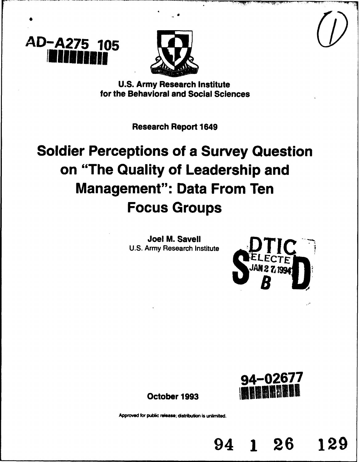



**U.S.** Army Research Institute for the Behavioral and Social Sciences

Research Report 1649

# Soldier Perceptions of a Survey Question on "The Quality of Leadership and Management": Data From Ten Focus Groups

Joel M. Savell **U.S.** Army Research Institute





94 **1** 26 129

October 1993 **1**

Approved for public release; distribution is unlimited.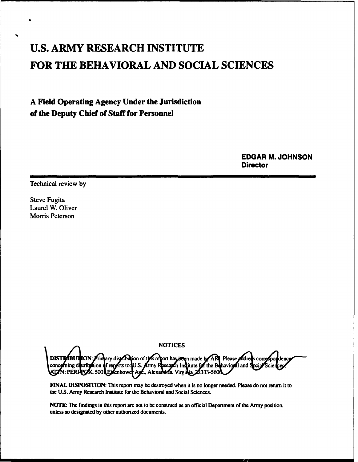## **U.S.** ARMY RESEARCH INSTITUTE FOR THE BEHAVIORAL **AND SOCIAL SCIENCES**

## A Field Operating Agency Under the Jurisdiction of the Deputy Chief of Staff for Personnel

EDGAR M. **JOHNSON Director** 

Technical review by

Steve Fugita Laurel W. Oliver Morris Peterson

**NOTICES** ION: Frimary distribution of this report has been made by ARI. Please addres **DISTRIBUT**  $f$  reports to: U.S. **of**ning di **Army Research Institute for the Behavioral and** stribilion d **T**N: PER .., Alcxain **Ejsenhowe** ina, Virginia 2

**FINAL DISPOSITION:** This report may be destroyed when it is no longer needed. Please do not return it to the U.S. Army Research Institute for the Behavioral and Social Sciences.

NOTE: The findings in this report are not to be construed as an official Department of the Army position, unless so designated by other authorized documents.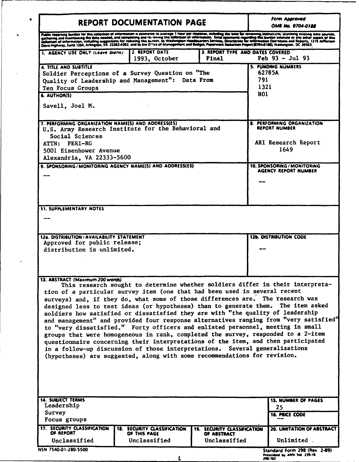| <b>REPORT DOCUMENTATION PAGE</b>                                                                                                                                                                                                                                                                                                                                                                                                                                                                                                   | <b>Ferm Approved</b><br><b>OMB No. 0704-0188</b>                   |                                                                   |                                                                                                                                                                                                                                                                                                                                                                                                                                        |
|------------------------------------------------------------------------------------------------------------------------------------------------------------------------------------------------------------------------------------------------------------------------------------------------------------------------------------------------------------------------------------------------------------------------------------------------------------------------------------------------------------------------------------|--------------------------------------------------------------------|-------------------------------------------------------------------|----------------------------------------------------------------------------------------------------------------------------------------------------------------------------------------------------------------------------------------------------------------------------------------------------------------------------------------------------------------------------------------------------------------------------------------|
|                                                                                                                                                                                                                                                                                                                                                                                                                                                                                                                                    |                                                                    |                                                                   | Public regorung burden for this collection of information is estimate to average 1 hour per response, including the time for reviewing instructions, searching easting data sources,<br>collection of information, including sugg                                                                                                                                                                                                      |
| 1. AGENCY USE ONLY (Leave biank)                                                                                                                                                                                                                                                                                                                                                                                                                                                                                                   | 2. REPORT DATE<br>1993, October                                    | 3. REPORT TYPE AND DATES COVERED<br>Final                         | $Feb 93 - Jul 93$                                                                                                                                                                                                                                                                                                                                                                                                                      |
| 4. TITLE AND SUBTITLE<br>Soldier Perceptions of a Survey Question on "The<br>Quality of Leadership and Management": Data From<br>Ten Focus Groups<br>6. AUTHOR(S)<br>Savell, Joel M.                                                                                                                                                                                                                                                                                                                                               |                                                                    |                                                                   | <b>5. FUNDING NUMBERS</b><br>62785A<br>791<br>1321<br>HO1                                                                                                                                                                                                                                                                                                                                                                              |
| 7. PERFORMING ORGANIZATION NAME(S) AND ADDRESS(ES)<br>U.S. Army Research Institute for the Behavioral and<br>Social Sciences<br>ATTN: PERI-RG<br>5001 Eisenhower Avenue<br>Alexandria, VA 22333-5600<br>9. SPONSORING/MONITORING AGENCY NAME(S) AND ADDRESS(ES)                                                                                                                                                                                                                                                                    |                                                                    |                                                                   | <b>8. PERFORMING ORGANIZATION</b><br><b>REPORT NUMBER</b><br>ARI Research Report<br>1649<br>10. SPONSORING / MONITORING<br>AGENCY REPORT NUMBER                                                                                                                                                                                                                                                                                        |
| <b>11. SUPPLEMENTARY NOTES</b>                                                                                                                                                                                                                                                                                                                                                                                                                                                                                                     |                                                                    |                                                                   |                                                                                                                                                                                                                                                                                                                                                                                                                                        |
|                                                                                                                                                                                                                                                                                                                                                                                                                                                                                                                                    |                                                                    |                                                                   |                                                                                                                                                                                                                                                                                                                                                                                                                                        |
| <b>12a. DISTRIBUTION/AVAILABILITY STATEMENT</b><br>Approved for public release;                                                                                                                                                                                                                                                                                                                                                                                                                                                    |                                                                    |                                                                   | <b>12b. DISTRIBUTION CODE</b>                                                                                                                                                                                                                                                                                                                                                                                                          |
| distribution is unlimited.                                                                                                                                                                                                                                                                                                                                                                                                                                                                                                         |                                                                    |                                                                   |                                                                                                                                                                                                                                                                                                                                                                                                                                        |
| 13. ABSTRACT (Maximum 200 words)<br>tion of a particular survey item (one that had been used in several recent<br>surveys) and, if they do, what some of those differences are. The research was<br>soldiers how satisfied or dissatisfied they are with "the quality of leadership<br>to "very dissatisfied." Forty officers and enlisted personnel, meeting in small<br>in a follow-up discussion of those interpretations. Several generalizations<br>(hypotheses) are suggested, along with some recommendations for revision. |                                                                    |                                                                   | This research sought to determine whether soldiers differ in their interpreta-<br>designed less to test ideas (or hypotheses) than to generate them. The item asked<br>and management" and provided four response alternatives ranging from "very satisfied"<br>groups that were homogeneous in rank, completed the survey, responded to a 2-item<br>questionnaire concerning their interpretations of the item, and then participated |
| <b>14. SUBJECT TERMS</b><br>Leadership<br>Survey<br>Focus groups                                                                                                                                                                                                                                                                                                                                                                                                                                                                   |                                                                    |                                                                   | <b>15. NUMBER OF PAGES</b><br>25<br><b>16. PRICE CODE</b>                                                                                                                                                                                                                                                                                                                                                                              |
| 17. SECURITY CLASSIFICATION<br>OF REPORT<br>Unclassified                                                                                                                                                                                                                                                                                                                                                                                                                                                                           | <b>18. SECURITY CLASSIFICATION</b><br>OF THIS PAGE<br>Unclassified | <b>19. SECURITY CLASSIFICATION</b><br>OF ABSTRACT<br>Unclassified | <b>20. LIMITATION OF ABSTRACT</b><br>Unlimited.                                                                                                                                                                                                                                                                                                                                                                                        |
| NSN 7540-01-280-5500                                                                                                                                                                                                                                                                                                                                                                                                                                                                                                               |                                                                    |                                                                   | Standard Form 298 (Rev. 2-89)<br>Prescribed by ANSI Std. 239-18                                                                                                                                                                                                                                                                                                                                                                        |

í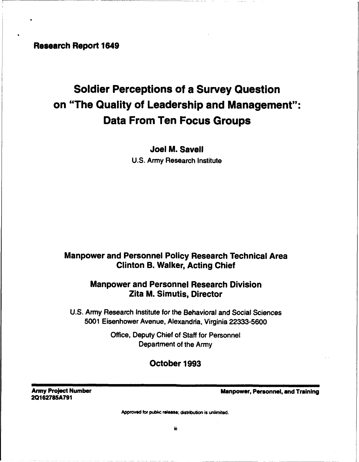Research Report 1649

## Soldier Perceptions of a Survey Question on "The Quality of Leadership and Management": Data From Ten Focus Groups

Joel M. Savell U.S. Army Research Institute

## Manpower and Personnel Policy Research Technical Area Clinton B. Walker, Acting Chief

## Manpower and Personnel Research Division Zita M. Simutis, Director

U.S. Army Research Institute for the Behavioral and Social Sciences 5001 Eisenhower Avenue, Alexandria, Virginia 22333-5600

> Office, Deputy Chief of Staff for Personnel Department of the Army

## October 1993

**20162785A791**

Army Project Number Manpower, Personnel, and Training

Approved for public release; distribution is unlimited.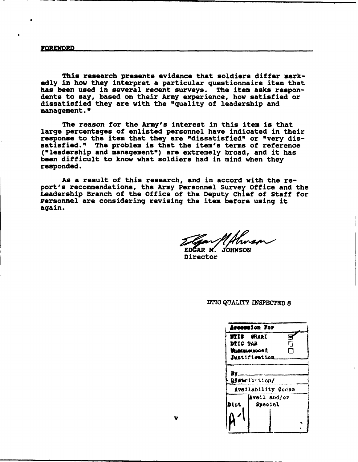This research presents evidence that soldiers differ markedly in how they interpret a particular questionnaire item that has been used in several recent surveys. The item asks respon- dents to say, based on their Army experience, how satisfied or dissatisfied they are with the "quality of leadership and management."

The reason for the Army's interest in this item is that large percentages of enlisted personnel have indicated in their response to the item that they are "dissatisfied" or "very dissatisfied." The problem is that the item's terms of reference ("leadership and management") are extremely broad, and it has been difficult to know what soldiers had in mind when they responded.

As a result of this research, and in accord with the report's recommendations, the Army Personnel Survey Office and the Leadership Branch of the Office of the Deputy Chief of Staff for Personnel are considering revising the item before using it again.

EDGAR M. JOHNSON

Director

**D"17** QUALITY INSPECTED **8**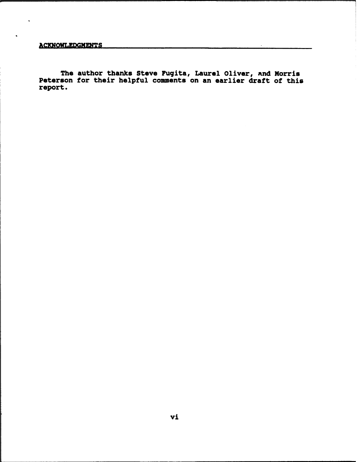ACKNOWLEDGMENTS

The author thanks Steve Fugita, Laurel Oliver, and Morris Peterson for their helpful comments on an earlier draft of this report.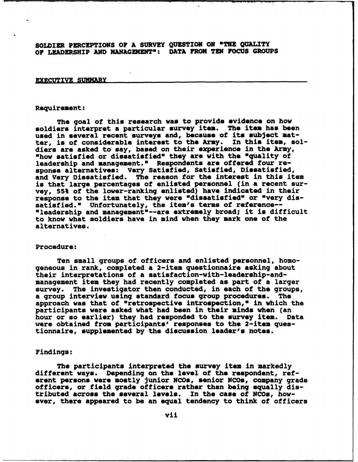SOLDIER PERCEPTIONS OF A SURVEY QUESTION ON "THE QUALITY OF LEADERSHIP AND MNAGEMENT": DATA FROM TEN FOCUS GROUPS

#### EXECUTIVE SUMMARY

#### Requirement:

The goal of this research was to provide evidence on how soldiers interpret a particular survey item. The item has been used in several recent surveys and, because of its subject matter, is of considerable interest to the Army. In this item, soldiers are asked to say, based on their experience in the Army, "how satisfied or dissatisfied" they are with the "quality of leadership and management." Respondents are offered four response alternatives: Very Satisfied, Satisfied, Dissatisfied, and Very Dissatisfied. The reason for the interest in this item is that large percentages of enlisted personnel (in a recent survey, 55% of the lower-ranking enlisted) have indicated in their response to the item that they were "dissatisfied" or "very dissatisfied." Unfortunately, the item's terms of reference-- "leadership and management"--are extremely broad; it is difficult to know what soldiers have in mind when they mark one of the alternatives.

#### Procedure:

Ten small groups of officers and enlisted personnel, homogeneous in rank, completed a 2-item questionnaire asking about their interpretations of a satisfaction-with-leadership-andmanagement item they had recently completed as part of a larger survey. The investigator then conducted, in each of the groups,<br>a group interview using standard focus group procedures. The a group interview using standard focus group procedures. approach was that of "retrospective introspection," in which the participants were asked what had been in their minds when (an hour or so earlier) they had responded to the survey item. Data hour or so earlier) they had responded to the survey item. were obtained from participants' responses to the 2-item questionnaire, supplemented by the discussion leader's notes.

#### Findings:

The participants interpreted the survey item in markedly different ways. Depending on the level of the respondent, referent persons were mostly junior NCOs, senior **NCOs,** company grade officers, or field grade officers rather than being equally distributed across the several levels. In the case of NCOs, however, there appeared to be an equal tendency to think of officers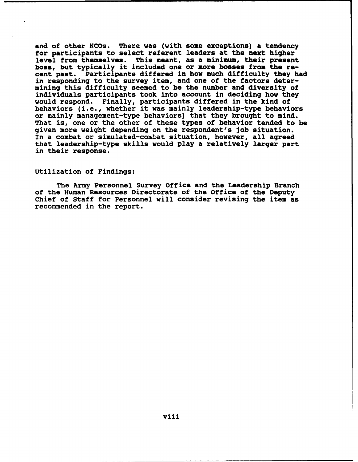and of other NCOs. There was (with some exceptions) a tendency for participants to select referent leaders at the next higher level from themselves. This meant, as a minimum, their present boss, but typically it included one or more bosses from the re-<br>cent past. Participants differed in how much difficulty they has Participants differed in how much difficulty they had in responding to the survey item, and one of the factors determining this difficulty seemed to be the number and diversity of individuals participants took into account in deciding how they would respond. Finally, participants differed in the kind of behaviors (i.e., whether it was mainly leadership-type behaviors or mainly management-type behaviors) that they brought to mind. That is, one or the other of these types of behavior tended to be given more weight depending on the respondent's job situation. In a combat or simulated-combat situation, however, all agreed that leadership-type skills would play a relatively larger part in their response.

#### Utilization of Findings:

The Army Personnel Survey office and the Leadership Branch of the Human Resources Directorate of the Office of the Deputy Chief of Staff for Personnel will consider revising the item as recommended in the report.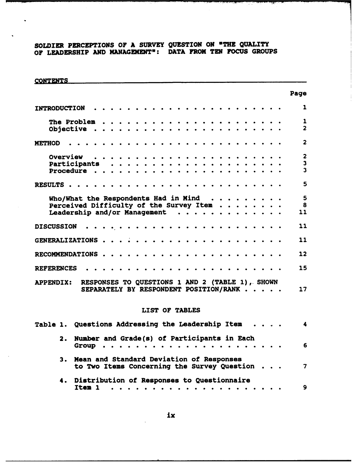### SOLDIER PERCEPTIONS OF A SURVEY QUESTION ON "THE QUALITY OF LEADERSHIP AND MANAGEMENT\*: DATA FROM TEN FOCUS GROUPS

 $\ddot{\phantom{0}}$ 

| <b>CONTENTS</b>                                   |                                                                                            |  |                     |                |                                                                                                       |                     |                                   |   |  |                               |  |   |                         |
|---------------------------------------------------|--------------------------------------------------------------------------------------------|--|---------------------|----------------|-------------------------------------------------------------------------------------------------------|---------------------|-----------------------------------|---|--|-------------------------------|--|---|-------------------------|
|                                                   |                                                                                            |  |                     |                |                                                                                                       |                     |                                   |   |  |                               |  |   | Page                    |
| <b>INTRODUCTION</b>                               |                                                                                            |  |                     |                |                                                                                                       |                     |                                   |   |  |                               |  |   | 1                       |
|                                                   | The Problem $\ldots \ldots \ldots \ldots \ldots \ldots \ldots$                             |  |                     |                |                                                                                                       |                     |                                   |   |  |                               |  |   | $\mathbf{1}$            |
|                                                   | Objective                                                                                  |  |                     |                |                                                                                                       |                     |                                   |   |  |                               |  |   | $\overline{2}$          |
| <b>METHOD</b>                                     |                                                                                            |  |                     |                |                                                                                                       |                     |                                   |   |  |                               |  |   | $\overline{2}$          |
|                                                   |                                                                                            |  |                     |                |                                                                                                       |                     |                                   |   |  |                               |  |   | $\mathbf{2}$            |
|                                                   |                                                                                            |  |                     |                |                                                                                                       |                     |                                   |   |  |                               |  |   | $\overline{\mathbf{3}}$ |
|                                                   | Procedure                                                                                  |  |                     |                |                                                                                                       |                     |                                   |   |  |                               |  |   | $\overline{\mathbf{3}}$ |
| RESULTS                                           |                                                                                            |  |                     |                |                                                                                                       | $\bullet$ $\bullet$ |                                   | . |  |                               |  |   | 5                       |
|                                                   | Who/What the Respondents Had in Mind $\ldots$                                              |  |                     |                |                                                                                                       |                     |                                   |   |  |                               |  |   | $5\phantom{1}$          |
|                                                   | Perceived Difficulty of the Survey Item                                                    |  |                     |                |                                                                                                       |                     |                                   |   |  |                               |  |   | 8                       |
|                                                   | Leadership and/or Management                                                               |  |                     |                |                                                                                                       |                     |                                   |   |  |                               |  |   | 11                      |
| <b>DISCUSSION</b>                                 |                                                                                            |  | .                   |                |                                                                                                       |                     |                                   |   |  |                               |  |   | 11                      |
| GENERALIZATIONS                                   |                                                                                            |  | $\bullet$ $\bullet$ |                | .                                                                                                     |                     |                                   |   |  | $\bullet$ $\bullet$ $\bullet$ |  |   | 11                      |
| RECOMMENDATIONS                                   |                                                                                            |  |                     |                | $\begin{array}{cccccccccccccc} \bullet & \bullet & \bullet & \bullet & \bullet & \bullet \end{array}$ |                     | <b>Contract Contract Contract</b> |   |  |                               |  | . | 12                      |
| <b>REFERENCES</b>                                 |                                                                                            |  |                     |                |                                                                                                       | $\bullet$ $\bullet$ | $\bullet$                         |   |  |                               |  |   | 15                      |
| <b>APPENDIX:</b>                                  | RESPONSES TO QUESTIONS 1 AND 2 (TABLE 1), SHOWN<br>SEPARATELY BY RESPONDENT POSITION/RANK  |  |                     |                |                                                                                                       |                     |                                   |   |  |                               |  |   | 17                      |
|                                                   |                                                                                            |  |                     | LIST OF TABLES |                                                                                                       |                     |                                   |   |  |                               |  |   |                         |
| Table 1. Questions Addressing the Leadership Item |                                                                                            |  |                     |                |                                                                                                       |                     |                                   |   |  |                               |  |   |                         |
|                                                   | 2. Number and Grade(s) of Participants in Each                                             |  |                     |                |                                                                                                       |                     |                                   |   |  |                               |  |   | 6                       |
|                                                   | 3. Mean and Standard Deviation of Responses<br>to Two Items Concerning the Survey Question |  |                     |                |                                                                                                       |                     |                                   |   |  |                               |  |   | $\overline{\mathbf{z}}$ |
|                                                   | 4. Distribution of Responses to Questionnaire<br>Item 1 $\cdots$ , $\cdots$                |  |                     |                |                                                                                                       |                     |                                   |   |  |                               |  |   | $\mathbf{9}$            |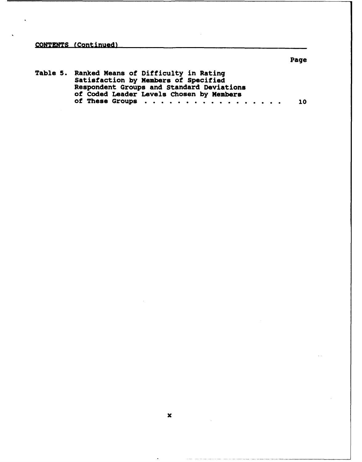**CONTENTS** (Continued)

## Table 5. Ranked Means of Difficulty in Rating Satisfaction by Members of Specified Respondent Groups and Standard Deviations of Coded Leader Levels Chosen by Members of These Groups . **. . . . . . . . . . . . . . .** . <sup>10</sup>

Page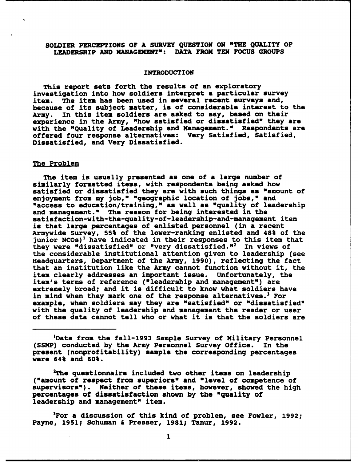#### SOLDIER PERCEPTIONS OF A SURVEY QUESTION ON "THE QUALITY OF LEADERSHIP AND MANAGEMENT": DATA FROM TEN FOCUS GROUPS

#### INTRODUCTION

This report sets forth the results of an exploratory investigation into how soldiers interpret a particular survey item. The item has been used in several recent surveys and, because of its subject matter, is of considerable interest to the<br>Army. In this item soldiers are asked to say, based on their In this item soldiers are asked to say, based on their experience in the Army, "how satisfied or dissatisfied" they are with the "Quality of Leadership and Management." Respondents are offered four response alternatives: Very Satisfied, Satisfied, Dissatisfied, and Very Dissatisfied.

#### The Problem

The item is usually presented as one of a large number of similarly formatted items, with respondents being asked how satisfied or dissatisfied they are with such things as "amount of enjoyment from my job," "geographic location of jobs," and "access to education/training," as well as "quality of leadership and management." The reason for being interested in the satisfaction-with-the-quality-of-leadership-and-management item is that large percentages of enlisted personnel (in a recent Armywide Survey, 55% of the lower-ranking enlisted and 48% of the junior  $NCOs$ <sup>1</sup> have indicated in their responses to this item that they were "dissatisfied" or "very dissatisfied."<sup>2</sup> In views of the considerable institutional attention given to leadership (see Headquarters, Department of the Army, 1990), reflecting the fact that an institution like the Army cannot function without it, the item clearly addresses an important issue. Unfortunately, the item's terms of reference ("leadership and management") are extremely broad; and it is difficult to know what soldiers have in mind when they mark one of the response alternatives.<sup>3</sup> For example, when soldiers say they are "satisfied" or "dissatisfied" with the quality of leadership and management the reader or user of these data cannot tell who or what it is that the soldiers are

'Data from the fall-1993 Sample Survey of Military Personnel<br>') conducted by the Army Personnel Survey Office. In the (SSMP) conducted by the Army Personnel Survey Office. present (nonprofitability) sample the corresponding percentages were 64% and 60%.

2The questionnaire included two other items on leadership ("amount of respect from superiors" and "level of competence of supervisors"). Neither of these items, however, showed the high percentages of dissatisfaction shown by the "quality of leadership and management" item.

<sup>3</sup>For a discussion of this kind of problem, see Fowler, 1992; Payne, 1951; Schuman & Presser, 1981; Tanur, 1992.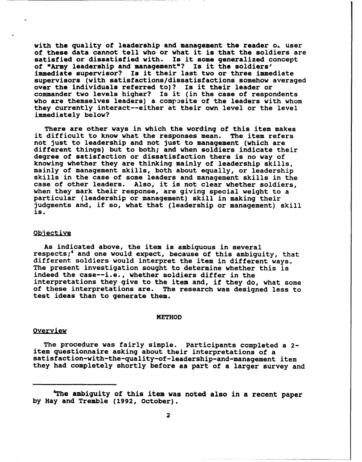with the quality of leadership and management the reader o. user of these data cannot tell who or what it is that the soldiers are satisfied or dissatisfied with. Is it some generalized concept of "Army leadership and management"? Is it the soldiers' immediate supervisor? Is it their last two or three immediate supervisors (with satisfactions/dissatisfactions somehow averaged over the individuals referred to)? Is it their leader or commander two levels higher? Is it (in the case of respondents who are themselves leaders) a composite of the leaders with whom they currently interact--either at their own level or the level immediately below?

There are other ways in which the wording of this item makes difficult to know what the responses mean. The item refers it difficult to know what the responses mean. not just to leadership and not just to management (which are different things) but to both; and when soldiers indicate their degree of satisfaction or dissatisfaction there is no way of knowing whether they are thinking mainly of leadership skills, mainly of management skills, both about equally, or leadership skills in the case of some leaders and management skills in the case of other leaders. Also, it is not clear whether soldiers, when they mark their response, are giving special weight to a particular (leadership or management) skill in making their judgments and, if so, what that (leadership or management) skill is.

#### Qbjective

As indicated above, the item is ambiguous in several respects;<sup>4</sup> and one would expect, because of this ambiguity, that different soldiers would interpret the item in different ways. The present investigation sought to determine whether this is indeed the case--i.e., whether soldiers differ in the interpretations they give to the item and, if they do, what some of these interpretations are. The research was designed less to test ideas than to generate them.

#### METHOD

#### **Overview**

The procedure was fairly simple. Participants completed a 2 item questionnaire asking about their interpretations of a satisfaction-with-the-quality-of-leadership-and-management item they had completely shortly before as part of a larger survey and

 $\overline{A}$  the ambient paper of this is in a recent paper of the ambient paper. The cent paper of the also in a recent paper of the ambient paper of the cent paper of the ambient paper of the cent paper of the cent paper of

The ambiguity of this item was noted also in a recent paper<br>by Hay and Tremble (1992, October).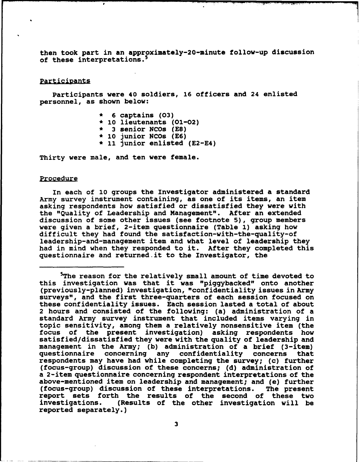then took part in an approximately-20-minute follow-up discussion of these interpretations.<sup>5</sup>

#### Participants

Participants were 40 soldiers, 16 officers and 24 enlisted personnel, as shown below:

- \* 6 captains (03)
- \* 10 lieutenants (01-02)
- 3 senior NCOs **(E8)**
- 10 junior NCOs (E6)
- \* **11** junior enlisted (E2-E4)

Thirty were male, and ten were female.

 $\bullet$ 

#### Procedure

In each of 10 groups the Investigator administered a standard Army survey instrument containing, as one of its items, an item asking respondents how satisfied or dissatisfied they were with the "Quality of Leadership and Management". After an extended discussion of some other issues (see footnote 5), group members were given a brief, 2-item questionnaire (Table 1) asking how difficult they had found the satisfaction-with-the-quality-of leadership-and-management item and what level of leadership they had in mind when they responded to it. After they completed this questionnaire and returned it to the Investigator, the

The reason for the relatively small amount of time devoted to this investigation was that it was "piggybacked" onto another (previously-planned) investigation, "confidentiality issues in Army surveys", and the first three-quarters of each session focused on surveys", and the first three-quarters of each session focused of<br>these confidentiality issues. Each session lasted a total of about 2 hours and consisted of the following: (a) administration of a standard Army survey instrument that included items varying in topic sensitivity, among them a relatively nonsensitive item (the focus of the present investigation) asking respondents how satisfied/dissatisfied they were with the quality of leadership and management in the Army; (b) administration of a brief (3-item) questionnaire concerning any confidentiality concerns that respondents may have had while completing the survey; (c) further (focus-group) discussion of these concerns; (d) administration of a 2-item questionnaire concerning respondent interpretations of the above-mentioned item on leadership and management; and (e) further (focus-group) discussion of these interpretations. The present report sets forth the results of the second of these two<br>investigations. (Results of the other investigation will be (Results of the other investigation will be reported separately.)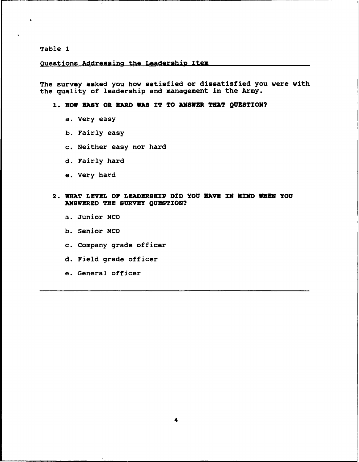Table 1

#### questions Addressing the Leadership Item

The survey asked you how satisfied or dissatisfied you were with the quality of leadership and management in the Army.

#### **1.** HOW EASY OR HARD WAS IT TO ANSWER **THAT** QUESTION?

- a. Very easy
- b. Fairly easy
- c. Neither easy nor hard
- d. Fairly hard
- e. Very hard

#### 2. WHAT LEVEL OF LEADERSHIP DID YOU HAVE **IN MIND** WHEN **YOU** ANSWERED THE SURVEY QUESTION?

- a. Junior NCO
- b. Senior NCO
- c. Company grade officer
- d. Field grade officer
- e. General officer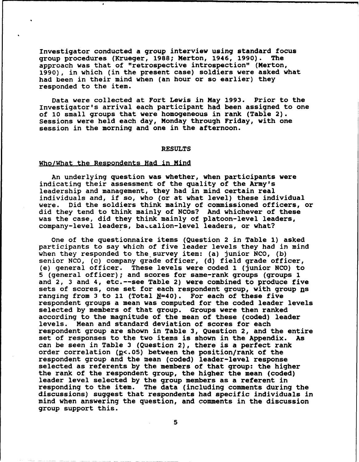Investigator conducted a group interview using standard focus group procedures (Krueger, 1988; Merton, 1946, 1990). The approach was that of "retrospective introspection" (Merton, 1990), in which (in the present case) soldiers were asked what had been in their mind when (an hour or so earlier) they responded to the item.

Data were collected at Fort Lewis in May 1993. Prior to the Investigator's arrival each participant had been assigned to one of 10 small groups that were homogeneous in rank (Table 2). Sessions were held each day, Monday through Friday, with one session in the morning and one in the afternoon.

#### RESULTS

#### Who/What the Respondents Had in Mind

 $\bullet$ 

An underlying question was whether, when participants were indicating their assessment of the quality of the Army's leadership and management, they had in mind certain real individuals and, if so, who (or at what level) these individual<br>were. Did the soldiers think mainly of commissioned officers, Did the soldiers think mainly of commissioned officers, or did they tend to think mainly of NCOs? And whichever of these was the case, did they think mainly of platoon-level leaders, company-level leaders, battalion-level leaders, or what?

One of the questionnaire items (Question 2 in Table 1) asked participants to say which of five leader levels they had in mind when they responded to the survey item: (a) junior NCO, (b) senior NCO, (c) company grade officer, (d) field grade officer, (e) general officer. These levels were coded 1 (junior NCO) to 5 (general officer); and scores for same-rank groups (groups 1 and 2, 3 and 4, etc.--see Table 2) were combined to produce five sets of scores, one set for each respondent group, with group ns ranging from 3 to 11 (Total  $N=40$ ). For each of these five respondent groups a mean was computed for the coded leader levels selected by members of that group. Groups were then ranked according to the magnitude of the mean of these (coded) leader levels. Mean and standard deviation of scores for each respondent group are shown in Table 3, Question 2, and the entire set of responses to the two items is shown in the Appendix. As can be seen in Table 3 (Question 2), there is a perfect rank order correlation ( $p$ <.05) between the position/rank of the respondent group and the mean (coded) leader-level response selected as referents by the members of that group: the higher the rank of the respondent group, the higher the mean (coded) leader level selected by the group members as a referent in responding to the item. The data (including comments during the discussions) suggest that respondents had specific individuals in mind when answering the question, and comments in the discussion group support this.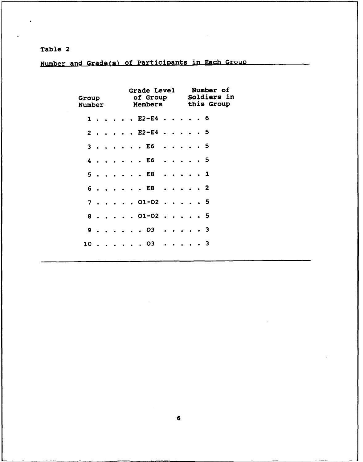Table 2

Number and Grade(s) of Participants in Each Group

| <b>Group</b><br><b>Number</b> |       |  |  | <b>Grade Level</b><br>of Group<br><b>Members</b> |  |  | Number of<br>Soldiers in<br>this Group |
|-------------------------------|-------|--|--|--------------------------------------------------|--|--|----------------------------------------|
|                               | $1$ . |  |  | . E2-E4 6                                        |  |  |                                        |
|                               |       |  |  | 2 E2-E4 5                                        |  |  |                                        |
|                               |       |  |  | 3 E6 5                                           |  |  |                                        |
| 4                             |       |  |  | . E6 5                                           |  |  |                                        |
|                               |       |  |  | 5 E8 1                                           |  |  |                                        |
|                               |       |  |  | 6. E8 2                                          |  |  |                                        |
|                               |       |  |  | $7. 01-02. 5$                                    |  |  |                                        |
| 8                             |       |  |  | $\ldots$ 01-02 5                                 |  |  |                                        |
|                               |       |  |  | 9. 03 3                                          |  |  |                                        |
| 10.                           |       |  |  | . 03 3                                           |  |  |                                        |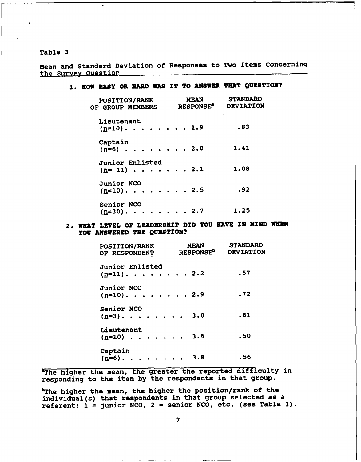Table 3

Mean and Standard Deviation of Responses to Two Items Concerning the Survey ouestior

#### **1.** HOW EASY OR HARD WAS IT TO **ANSWZR TEAT** QUESTION?

| POSITION/RANK<br>OF GROUP MEMBERS                                   | MEAN<br><b>RESPONSE</b> | <b>STANDARD</b><br><b>DEVIATION</b> |
|---------------------------------------------------------------------|-------------------------|-------------------------------------|
| Lieutenant<br>$(n=10)$ . 1.9                                        |                         | .83                                 |
| Captain<br>$(n=6)$ 2.0                                              |                         | 1.41                                |
| Junior Enlisted<br>$(n=11) \cdot \cdot \cdot \cdot \cdot \cdot 2.1$ |                         | 1.08                                |
| Junior NCO<br>$(n=10)$ . 2.5                                        |                         | .92                                 |
| Senior NCO<br>$(n=30)$ . 2.7                                        |                         | 1.25                                |

#### 2. WHAT LEVEL OF LEADERSHIP DID YOU NAVE IN MIND WHEN YOU ANSWERED THE QUESTION?

| <b>POSITION/RANK</b><br>OF RESPONDENT | <b>MEAN</b><br><b>RESPONSE<sup>b</sup></b> | <b>STANDARD</b><br>DEVIATION |
|---------------------------------------|--------------------------------------------|------------------------------|
| Junior Enlisted<br>$(n=11)$ . 2.2     |                                            | .57                          |
| <b>Junior NCO</b><br>$(n=10)$ . 2.9   |                                            | .72                          |
| Senior NCO<br>$(n=3)$ . 3.0           |                                            | .81                          |
| Lieutenant<br>$(n=10)$ 3.5            |                                            | .50                          |
| Captain<br>$(n=6)$ . 3.8              |                                            | . 56                         |

The higher the mean, the greater the reported difficulty in responding to the item by the respondents in that group.

bThe higher the mean, the higher the position/rank of the individual(s) that respondents in that group selected as a referent:  $i =$  junior NCO,  $2 =$  senior NCO, etc. (see Table 1).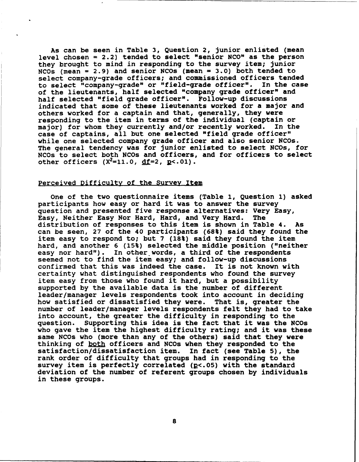As can be seen in Table 3, Question 2, junior enlisted (mean level chosen = 2.2) tended to select "senior NCO" as the person they brought to mind in responding to the survey item; junior NCOs (mean = 2.9) and senior NCOs (mean = 3.0) both tended to select company-grade officers; and commissioned officers tended<br>to select "company-grade" or "field-grade officer". In the case to select "company-grade" or "field-grade officer". of the lieutenants, half selected "company grade officer" and half selected "field grade officer". Follow-up discussions indicated that some of these lieutenants worked for a major and others worked for a captain and that, generally, they were responding to the item in terms of the individual (captain or major) for whom they currently and/or recently worked. In the case of captains, all but one selected "field grade officer" while one selected company grade officer and also senior NCOs. The general tendency was for junior enlisted to select NCOs, for NCOs to select both NCOs and officers, and for officers to select other officers  $(X^2=11.0, df=2, p<.01)$ .

#### Perceived Difficulty of the Survey Item

One of the two questionnaire items (Table 1, Question 1) asked participants how easy or hard it was to answer the survey question and presented five response alternatives: Very Easy,<br>Easy. Neither Easy Nor Hard, Hard, and Very Hard. The Easy, Neither Easy Nor Hard, Hard, and Very Hard. distribution of responses to this item is shown in Table 4. As can be seen, 27 of the 40 participants (68%) said they found the item easy to respond to; but 7 (18%) said they found the item hard, and another 6 (15%) selected the middle position ("neither easy nor hard"). In other words, a third of the respondents seemed not to find the item easy; and follow-up discussions confirmed that this was indeed the case. It is not known with certainty what distinguished respondents who found the survey item easy from those who found it hard, but a possibility supported by the available data is the number of different leader/manager levels respondents took into account in deciding how satisfied or dissatisfied they were. That is, greater the number of leader/manager levels respondents felt they had to take into account, the greater the difficulty in responding to the question. Supporting this idea is the fact that it was the NCOs who gave the item the highest difficulty rating; and it was these same NCOs who (more than any of the others) said that they were thinking of both officers and NCOs when they responded to the satisfaction/dissatisfaction item. In fact (see Table 5), the rank order of difficulty that groups had in responding to the survey item is perfectly correlated ( $p<$ .05) with the standard deviation of the number of referent groups chosen by individuals in these groups.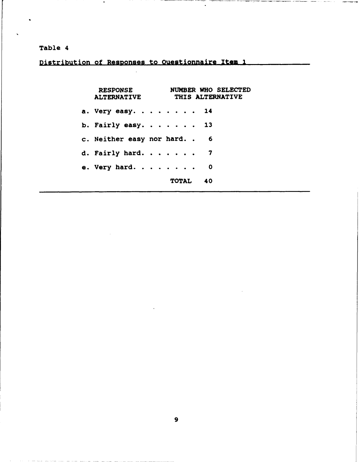#### Table 4

Distribution of Responses to Questionnaire Item 1

RESPONSE NUMBER WHO SELECTED ALTERNATIVE THIS ALTERNATIVE a. Very easy. **. . .....** <sup>14</sup> b. Fairly easy ......... **... <sup>13</sup>** c. Neither easy nor hard. . 6 d. Fairly hard . **. . ....** <sup>7</sup> e. Very hard **.....** ........ **<sup>0</sup>** TOTAL 40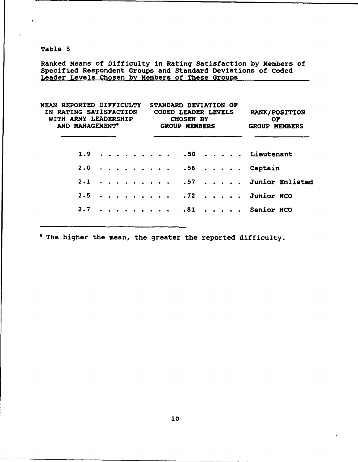Table 5

Ranked Means of Difficulty in Rating Satisfaction by Members of Specified Respondent Groups and Standard Deviations of Coded Leader Levels Chosen **by** Members of These GrOUDS

| MEAN REPORTED DIFFICULTY<br>IN RATING SATISFACTION<br>WITH ARMY LEADERSHIP<br>AND MANAGEMENT <sup>®</sup> |  | STANDARD DEVIATION OF<br><b>CODED LEADER LEVELS</b><br><b>CHOSEN BY</b><br><b>GROUP MEMBERS</b> | <b>RANK/POSITION</b><br><b>OF</b><br><b>GROUP MEMBERS</b> |
|-----------------------------------------------------------------------------------------------------------|--|-------------------------------------------------------------------------------------------------|-----------------------------------------------------------|
|                                                                                                           |  | 1.9 50 Lieutenant                                                                               |                                                           |
|                                                                                                           |  | 2.0 56 Captain                                                                                  |                                                           |
|                                                                                                           |  |                                                                                                 | $2.1$ 57 Junior Enlisted                                  |
|                                                                                                           |  | $2.5$ 72 Junior NCO                                                                             |                                                           |
|                                                                                                           |  | 2.7 81 Senior NCO                                                                               |                                                           |
|                                                                                                           |  |                                                                                                 |                                                           |

<sup>a</sup> The higher the mean, the greater the reported difficulty.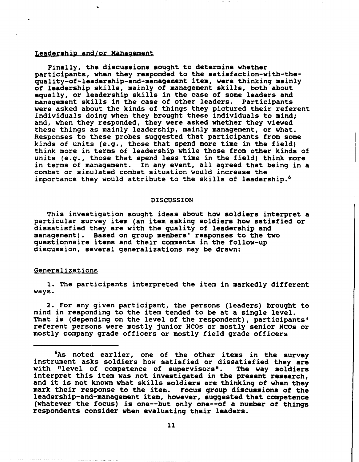#### Leadership and/or Management

Finally, the discussions sought to determine whether participants, when they responded to the satisfaction-with-thequality-of-leadership-and-management item, were thinking mainly of leadership skills, mainly of management skills, both about equally, or leadership skills in the case of some leaders and management skills in the case of other leaders. Participants were asked about the kinds of things they pictured their referent individuals doing when they brought these individuals to mind; and, when they responded, they were asked whether they viewed these things as mainly leadership, mainly management, or what. Responses to these probes suggested that participants from some kinds of units (e.g., those that spend more time in the field) think more in terms of leadership while those from other kinds of units (e.g., those that spend less time in the field) think more in terms of management. In any event, all agreed that being in a combat or simulated combat situation would increase the importance they would attribute to the skills of leadership.<sup>6</sup>

#### DISCUSSION

This investigation sought ideas about how soldiers interpret a particular survey item (an item asking soldiers how satisfied or dissatisfied they are with the quality of leadership and management). Based on group members' responses to the two questionnaire items and their comments in the follow-up discussion, several generalizations may be drawn:

#### Generalizations

1. The participants interpreted the item in markedly different ways.

2. For any given participant, the persons (leaders) brought to mind in responding to the item tended to be at a single level. That is (depending on the level of the respondent), participants' referent persons were mostly junior NCOs or mostly senior NCOs or mostly company grade officers or mostly field grade officers

<sup>&</sup>lt;sup>6</sup>As noted earlier, one of the other items in the survey instrument asks soldiers how satisfied or dissatisfied they are with "level of competence of supervisors". The way soldiers interpret this item was not investigated in the present research, and it is not known what skills soldiers are thinking of when they mark their response to the item. Focus group discussions of the leadership-and-management item, however, suggested that competence (whatever the focus) is one--but only one--of a number of things respondents consider when evaluating their leaders.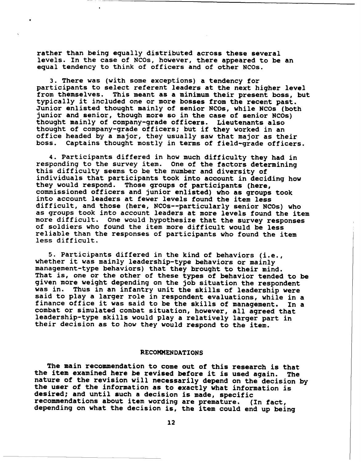rather than being equally distributed across these several levels. In the case of NCOs, however, there appeared to be an equal tendency to think of officers and of other NCOs.

3. There was (with some exceptions) a tendency for participants to select referent leaders at the next higher level from themselves. This meant as a minimum their present boss, but typically it included one or more bosses from the recent past. Junior enlisted thought mainly of senior NCOs, while NCOs (both junior and senior, though more so in the case of senior NCOs) thought mainly of company-grade officers. Lieutenants also thought of company-grade officers; but if they worked in an office headed by a major, they usually saw that major as their boss. Captains thought mostly in terms of field-grade officers.

4. Participants differed in how much difficulty they had in responding to the survey item. One of the factors determining this difficulty seems to be the number and diversity of individuals that participants took into account in deciding how they would respond. Those groups of participants (here, commissioned officers and junior enlisted) who as groups took into account leaders at fewer levels found the item less difficult, and those (here, NCOs--particularly senior NCOs) who as groups took into account leaders at more levels found the item more difficult. One would hypothesize that the survey responses of soldiers who found the item more difficult would be less reliable than the responses of participants who found the item less difficult.

5. Participants differed in the kind of behaviors (i.e., whether it was mainly leadership-type behaviors or mainly management-type behaviors) that they brought to their mind. That is, one or the other of these types of behavior tended to be given more weight depending on the job situation the respondent was in. Thus in an infantry unit the skills of leadership were said to play a larger role in respondent evaluations, while in a finance office it was said to be the skills of management. In a combat or simulated combat situation, however, all agreed that leadership-type skills would play a relatively larger part in their decision as to how they would respond to the item.

#### RECOMMENDATIONS

The main recommendation to come out of this research is that the item examined here be revised before it is used again. The nature of the revision will necessarily depend on the decision by the riem examined here be revised before it is used again. The<br>nature of the revision will necessarily depend on the decision by<br>the user of the information as to exactly what information is the user or the information as to exactly what infor<br>desired; and until such a decision is made, specific desired; and until such a decision is made, specific<br>recommendations about item wording are premature. (In fact, depending on what the decision is, the item could end up being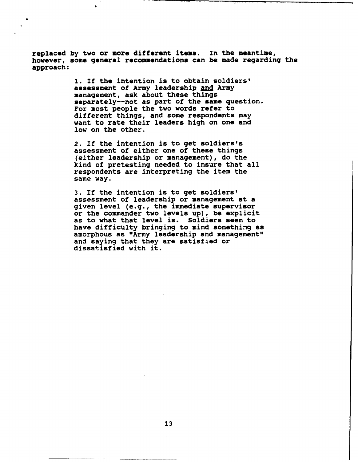replaced by two or more different items. In the meantime, however, some general recommendations can be made regarding the approach:

> **1.** If the intention is to obtain soldiers' assessment of Army leadership and Army management, ask about these things separately--not as part of the same question. For most people the two words refer to different things, and some respondents may want to rate their leaders high on one and low on the other.

2. If the intention is to get soldiers's assessment of either one of these things (either leadership or management), do the kind of pretesting needed to insure that all respondents are interpreting the item the same way.

3. If the intention is to get soldiers' assessment of leadership or management at a given level (e.g., the immediate supervisor or the commander two levels up), be explicit as to what that level is. Soldiers seem to have difficulty bringing to mind something as amorphous as "Army leadership and management" and saying that they are satisfied or dissatisfied with it.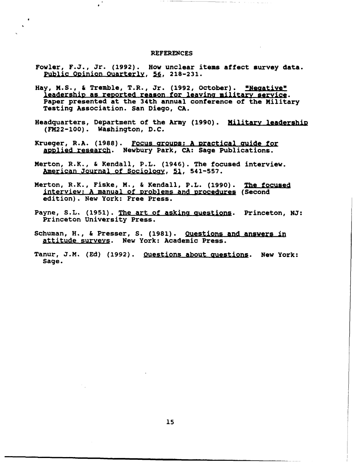#### **REFERENCES**

a

- Fowler, F.J., Jr. (1992). How unclear items affect survey data. Public Opinion Quarterly, 56, 218-231.
- Hay, M.S., & Tremble, T.R., Jr. (1992, October). "Negative" leadership as reported reason for leavina military service. Paper presented at the 34th annual conference of the Military Testing Association. San Diego, CA.
- Headquarters, Department of the Army (1990). Military leadership (FM22-100). Washington, D.C.
- Krueger, R.A. (1988). Focus groups: A practical guide for applied research. Newbury Park, CA: Sage Publications.
- Merton, R.K., & Kendall, P.L. (1946). The focused interview. American Journal of Sociology, 51, 541-557.
- Merton, R.K., Fiske, M., & Kendall, P.L. (1990). The focused interview: A manual of problems and procedures (Second edition). New York: Free Press.
- Payne, S.L. (1951). The art of asking auestions. Princeton, NJ: Princeton University Press.
- Schuman, H., & Presser, **S.** (1981). Ouestions and answers in attitude surveys. New York: Academic Press.
- Tanur, J.M. (Ed) (1992). Questions about guestions. New York: Sage.